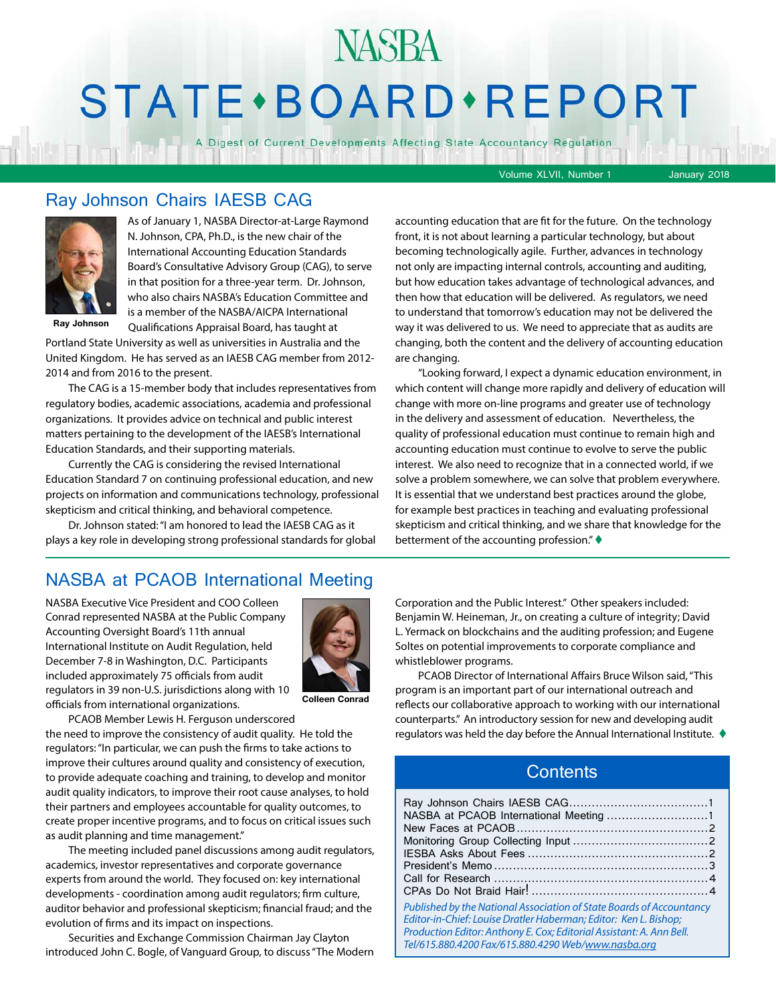# STATE · BOARD · REPORT

A Digest of Current Developments Affecting State Accountancy Regulation

Volume XLVII, Number 1 January 2018

#### Ray Johnson Chairs IAESB CAG



As of January 1, NASBA Director-at-Large Raymond N. Johnson, CPA, Ph.D., is the new chair of the International Accounting Education Standards Board's Consultative Advisory Group (CAG), to serve in that position for a three-year term. Dr. Johnson, who also chairs NASBA's Education Committee and is a member of the NASBA/AICPA International

**Ray Johnson**

Qualifications Appraisal Board, has taught at Portland State University as well as universities in Australia and the United Kingdom. He has served as an IAESB CAG member from 2012- 2014 and from 2016 to the present.

The CAG is a 15-member body that includes representatives from regulatory bodies, academic associations, academia and professional organizations. It provides advice on technical and public interest matters pertaining to the development of the IAESB's International Education Standards, and their supporting materials.

Currently the CAG is considering the revised International Education Standard 7 on continuing professional education, and new projects on information and communications technology, professional skepticism and critical thinking, and behavioral competence.

Dr. Johnson stated: "I am honored to lead the IAESB CAG as it plays a key role in developing strong professional standards for global

#### NASBA at PCAOB International Meeting

NASBA Executive Vice President and COO Colleen Conrad represented NASBA at the Public Company Accounting Oversight Board's 11th annual International Institute on Audit Regulation, held December 7-8 in Washington, D.C. Participants included approximately 75 officials from audit regulators in 39 non-U.S. jurisdictions along with 10 officials from international organizations.



**Colleen Conrad**

PCAOB Member Lewis H. Ferguson underscored

the need to improve the consistency of audit quality. He told the regulators: "In particular, we can push the firms to take actions to improve their cultures around quality and consistency of execution, to provide adequate coaching and training, to develop and monitor audit quality indicators, to improve their root cause analyses, to hold their partners and employees accountable for quality outcomes, to create proper incentive programs, and to focus on critical issues such as audit planning and time management."

The meeting included panel discussions among audit regulators, academics, investor representatives and corporate governance experts from around the world. They focused on: key international developments - coordination among audit regulators; firm culture, auditor behavior and professional skepticism; financial fraud; and the evolution of firms and its impact on inspections.

Securities and Exchange Commission Chairman Jay Clayton introduced John C. Bogle, of Vanguard Group, to discuss "The Modern

accounting education that are fit for the future. On the technology front, it is not about learning a particular technology, but about becoming technologically agile. Further, advances in technology not only are impacting internal controls, accounting and auditing, but how education takes advantage of technological advances, and then how that education will be delivered. As regulators, we need to understand that tomorrow's education may not be delivered the way it was delivered to us. We need to appreciate that as audits are changing, both the content and the delivery of accounting education are changing.

"Looking forward, I expect a dynamic education environment, in which content will change more rapidly and delivery of education will change with more on-line programs and greater use of technology in the delivery and assessment of education. Nevertheless, the quality of professional education must continue to remain high and accounting education must continue to evolve to serve the public interest. We also need to recognize that in a connected world, if we solve a problem somewhere, we can solve that problem everywhere. It is essential that we understand best practices around the globe, for example best practices in teaching and evaluating professional skepticism and critical thinking, and we share that knowledge for the betterment of the accounting profession." $\blacklozenge$ 

Corporation and the Public Interest." Other speakers included: Benjamin W. Heineman, Jr., on creating a culture of integrity; David L. Yermack on blockchains and the auditing profession; and Eugene Soltes on potential improvements to corporate compliance and whistleblower programs.

PCAOB Director of International Affairs Bruce Wilson said, "This program is an important part of our international outreach and reflects our collaborative approach to working with our international counterparts." An introductory session for new and developing audit regulators was held the day before the Annual International Institute.  $\blacklozenge$ 

#### **Contents**

| Published by the National Association of State Boards of Accountancy<br>Editor-in-Chief: Louise Dratler Haberman; Editor: Ken L. Bishop;<br>Production Editor: Anthony E. Cox; Editorial Assistant: A. Ann Bell.<br>Tel/615.880.4200 Fax/615.880.4290 Web/www.nasba.org |  |
|-------------------------------------------------------------------------------------------------------------------------------------------------------------------------------------------------------------------------------------------------------------------------|--|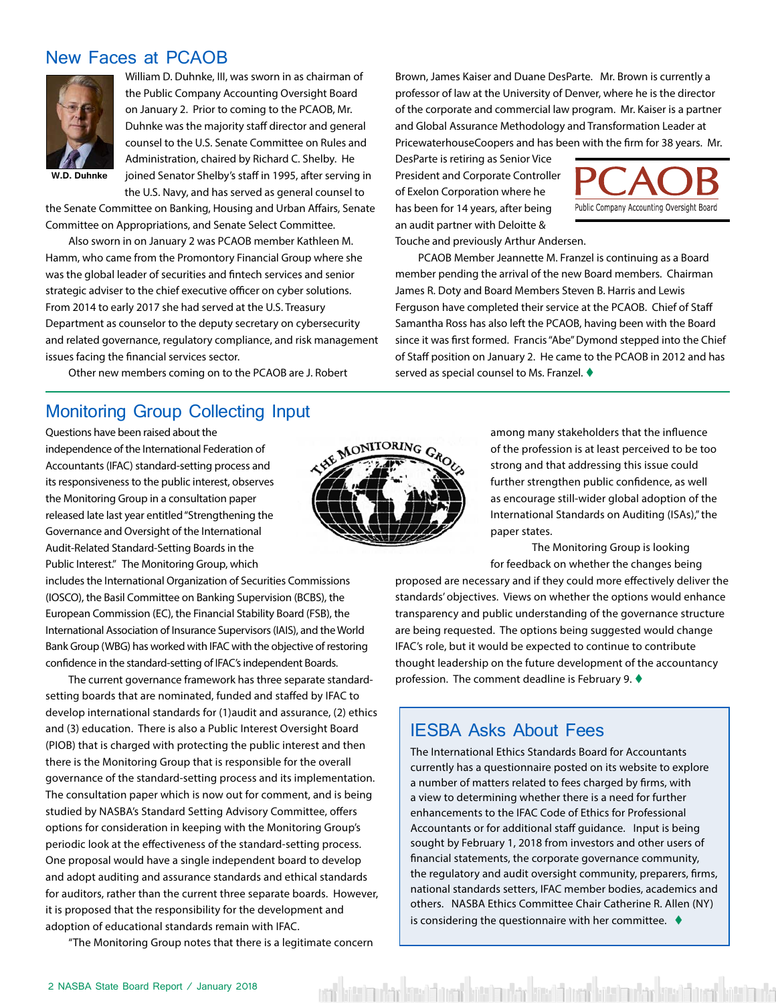#### <span id="page-1-0"></span>New Faces at PCAOB



William D. Duhnke, III, was sworn in as chairman of the Public Company Accounting Oversight Board on January 2. Prior to coming to the PCAOB, Mr. Duhnke was the majority staff director and general counsel to the U.S. Senate Committee on Rules and Administration, chaired by Richard C. Shelby. He joined Senator Shelby's staff in 1995, after serving in the U.S. Navy, and has served as general counsel to

**W.D. Duhnke**

the Senate Committee on Banking, Housing and Urban Affairs, Senate Committee on Appropriations, and Senate Select Committee.

Also sworn in on January 2 was PCAOB member Kathleen M. Hamm, who came from the Promontory Financial Group where she was the global leader of securities and fintech services and senior strategic adviser to the chief executive officer on cyber solutions. From 2014 to early 2017 she had served at the U.S. Treasury Department as counselor to the deputy secretary on cybersecurity and related governance, regulatory compliance, and risk management issues facing the financial services sector.

Other new members coming on to the PCAOB are J. Robert

#### Monitoring Group Collecting Input

Questions have been raised about the independence of the International Federation of Accountants (IFAC) standard-setting process and its responsiveness to the public interest, observes the Monitoring Group in a consultation paper released late last year entitled "Strengthening the Governance and Oversight of the International Audit-Related Standard-Setting Boards in the Public Interest." The Monitoring Group, which

includes the International Organization of Securities Commissions (IOSCO), the Basil Committee on Banking Supervision (BCBS), the European Commission (EC), the Financial Stability Board (FSB), the International Association of Insurance Supervisors (IAIS), and the World Bank Group (WBG) has worked with IFAC with the objective of restoring confidence in the standard-setting of IFAC's independent Boards.

The current governance framework has three separate standardsetting boards that are nominated, funded and staffed by IFAC to develop international standards for (1)audit and assurance, (2) ethics and (3) education. There is also a Public Interest Oversight Board (PIOB) that is charged with protecting the public interest and then there is the Monitoring Group that is responsible for the overall governance of the standard-setting process and its implementation. The consultation paper which is now out for comment, and is being studied by NASBA's Standard Setting Advisory Committee, offers options for consideration in keeping with the Monitoring Group's periodic look at the effectiveness of the standard-setting process. One proposal would have a single independent board to develop and adopt auditing and assurance standards and ethical standards for auditors, rather than the current three separate boards. However, it is proposed that the responsibility for the development and adoption of educational standards remain with IFAC.

"The Monitoring Group notes that there is a legitimate concern

MONITORING GRO

Brown, James Kaiser and Duane DesParte. Mr. Brown is currently a professor of law at the University of Denver, where he is the director of the corporate and commercial law program. Mr. Kaiser is a partner and Global Assurance Methodology and Transformation Leader at PricewaterhouseCoopers and has been with the firm for 38 years. Mr.

DesParte is retiring as Senior Vice President and Corporate Controller of Exelon Corporation where he has been for 14 years, after being an audit partner with Deloitte & Touche and previously Arthur Andersen.



PCAOB Member Jeannette M. Franzel is continuing as a Board member pending the arrival of the new Board members. Chairman James R. Doty and Board Members Steven B. Harris and Lewis Ferguson have completed their service at the PCAOB. Chief of Staff Samantha Ross has also left the PCAOB, having been with the Board since it was first formed. Francis "Abe" Dymond stepped into the Chief of Staff position on January 2. He came to the PCAOB in 2012 and has served as special counsel to Ms. Franzel.  $\blacklozenge$ 

> among many stakeholders that the influence of the profession is at least perceived to be too strong and that addressing this issue could further strengthen public confidence, as well as encourage still-wider global adoption of the International Standards on Auditing (ISAs)," the paper states.

> The Monitoring Group is looking for feedback on whether the changes being

proposed are necessary and if they could more effectively deliver the standards' objectives. Views on whether the options would enhance transparency and public understanding of the governance structure are being requested. The options being suggested would change IFAC's role, but it would be expected to continue to contribute thought leadership on the future development of the accountancy profession. The comment deadline is February 9.  $\blacklozenge$ 

#### IESBA Asks About Fees

The International Ethics Standards Board for Accountants currently has a questionnaire posted on its website to explore a number of matters related to fees charged by firms, with a view to determining whether there is a need for further enhancements to the IFAC Code of Ethics for Professional Accountants or for additional staff guidance. Input is being sought by February 1, 2018 from investors and other users of financial statements, the corporate governance community, the regulatory and audit oversight community, preparers, firms, national standards setters, IFAC member bodies, academics and others. NASBA Ethics Committee Chair Catherine R. Allen (NY) is considering the questionnaire with her committee.  $\blacklozenge$ 

ent hatt im der kreat bestehtet vier mehr kast bare hatt im der kast bestehtet ist im

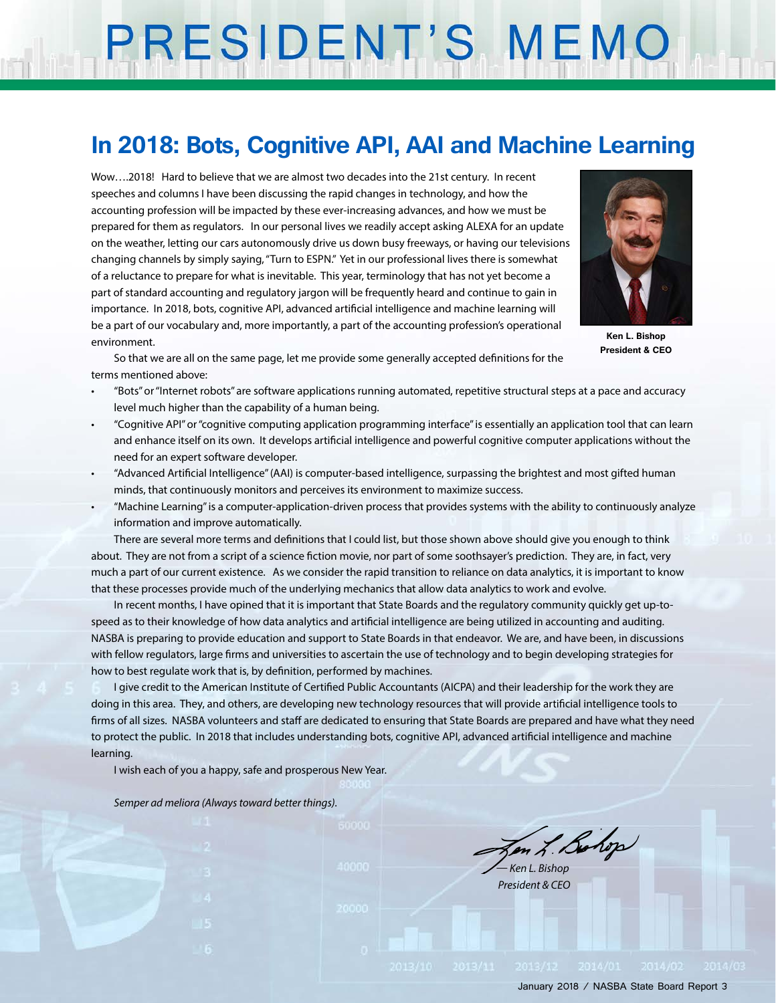# PRESIDENT'S MEMO

## **In 2018: Bots, Cognitive API, AAI and Machine Learning**

Wow….2018! Hard to believe that we are almost two decades into the 21st century. In recent speeches and columns I have been discussing the rapid changes in technology, and how the accounting profession will be impacted by these ever-increasing advances, and how we must be prepared for them as regulators. In our personal lives we readily accept asking ALEXA for an update on the weather, letting our cars autonomously drive us down busy freeways, or having our televisions changing channels by simply saying, "Turn to ESPN." Yet in our professional lives there is somewhat of a reluctance to prepare for what is inevitable. This year, terminology that has not yet become a part of standard accounting and regulatory jargon will be frequently heard and continue to gain in importance. In 2018, bots, cognitive API, advanced artificial intelligence and machine learning will be a part of our vocabulary and, more importantly, a part of the accounting profession's operational environment.



**Ken L. Bishop President & CEO**

So that we are all on the same page, let me provide some generally accepted definitions for the terms mentioned above:

- "Bots" or "Internet robots" are software applications running automated, repetitive structural steps at a pace and accuracy level much higher than the capability of a human being.
- "Cognitive API" or "cognitive computing application programming interface" is essentially an application tool that can learn and enhance itself on its own. It develops artificial intelligence and powerful cognitive computer applications without the need for an expert software developer.
- "Advanced Artificial Intelligence" (AAI) is computer-based intelligence, surpassing the brightest and most gifted human minds, that continuously monitors and perceives its environment to maximize success.
- "Machine Learning" is a computer-application-driven process that provides systems with the ability to continuously analyze information and improve automatically.

There are several more terms and definitions that I could list, but those shown above should give you enough to think about. They are not from a script of a science fiction movie, nor part of some soothsayer's prediction. They are, in fact, very much a part of our current existence. As we consider the rapid transition to reliance on data analytics, it is important to know that these processes provide much of the underlying mechanics that allow data analytics to work and evolve.

In recent months, I have opined that it is important that State Boards and the regulatory community quickly get up-tospeed as to their knowledge of how data analytics and artificial intelligence are being utilized in accounting and auditing. NASBA is preparing to provide education and support to State Boards in that endeavor. We are, and have been, in discussions with fellow regulators, large firms and universities to ascertain the use of technology and to begin developing strategies for how to best regulate work that is, by definition, performed by machines.

I give credit to the American Institute of Certified Public Accountants (AICPA) and their leadership for the work they are doing in this area. They, and others, are developing new technology resources that will provide artificial intelligence tools to firms of all sizes. NASBA volunteers and staff are dedicated to ensuring that State Boards are prepared and have what they need to protect the public. In 2018 that includes understanding bots, cognitive API, advanced artificial intelligence and machine learning.

I wish each of you a happy, safe and prosperous New Year.

*Semper ad meliora (Always toward better things).*

Ken L. Bohop

*— Ken L. Bishop President & CEO*

January 2018 / NASBA State Board Report 3